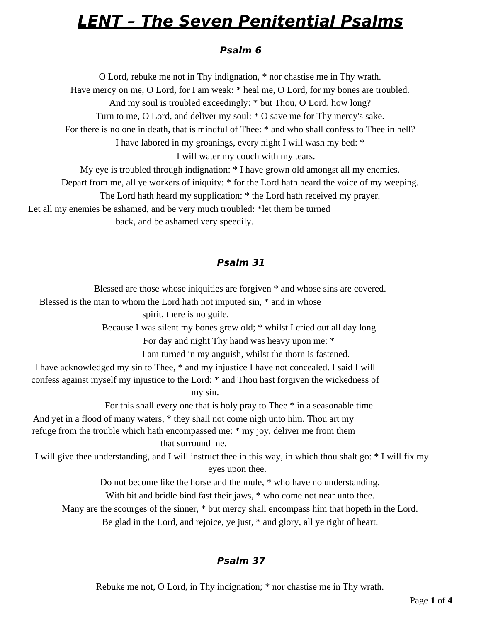# **LENT – The Seven Penitential Psalms**

#### **Psalm 6**

O Lord, rebuke me not in Thy indignation, \* nor chastise me in Thy wrath. Have mercy on me, O Lord, for I am weak: \* heal me, O Lord, for my bones are troubled. And my soul is troubled exceedingly: \* but Thou, O Lord, how long? Turn to me, O Lord, and deliver my soul: \* O save me for Thy mercy's sake. For there is no one in death, that is mindful of Thee: \* and who shall confess to Thee in hell? I have labored in my groanings, every night I will wash my bed: \* I will water my couch with my tears. My eye is troubled through indignation: \* I have grown old amongst all my enemies. Depart from me, all ye workers of iniquity: \* for the Lord hath heard the voice of my weeping. The Lord hath heard my supplication: \* the Lord hath received my prayer.

Let all my enemies be ashamed, and be very much troubled: \*let them be turned

back, and be ashamed very speedily.

### **Psalm 31**

Blessed are those whose iniquities are forgiven \* and whose sins are covered. Blessed is the man to whom the Lord hath not imputed sin, \* and in whose spirit, there is no guile. Because I was silent my bones grew old; \* whilst I cried out all day long. For day and night Thy hand was heavy upon me: \*

I am turned in my anguish, whilst the thorn is fastened.

I have acknowledged my sin to Thee, \* and my injustice I have not concealed. I said I will confess against myself my injustice to the Lord: \* and Thou hast forgiven the wickedness of my sin.

For this shall every one that is holy pray to Thee \* in a seasonable time.

And yet in a flood of many waters, \* they shall not come nigh unto him. Thou art my refuge from the trouble which hath encompassed me: \* my joy, deliver me from them that surround me.

I will give thee understanding, and I will instruct thee in this way, in which thou shalt go: \* I will fix my eyes upon thee.

Do not become like the horse and the mule, \* who have no understanding.

With bit and bridle bind fast their jaws,  $*$  who come not near unto thee.

Many are the scourges of the sinner, \* but mercy shall encompass him that hopeth in the Lord.

Be glad in the Lord, and rejoice, ye just, \* and glory, all ye right of heart.

## **Psalm 37**

Rebuke me not, O Lord, in Thy indignation; \* nor chastise me in Thy wrath.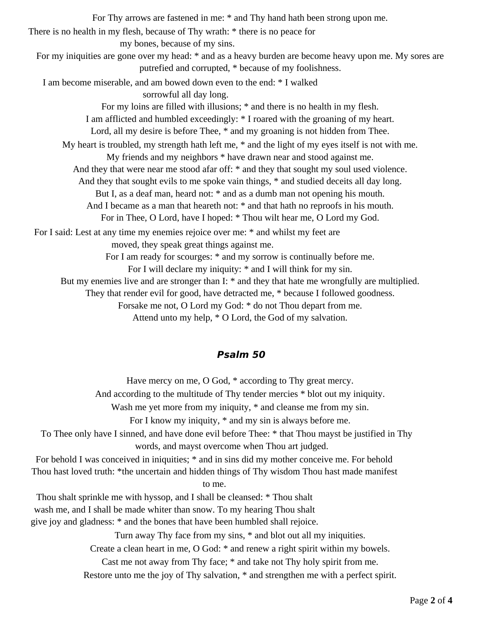For Thy arrows are fastened in me: \* and Thy hand hath been strong upon me. There is no health in my flesh, because of Thy wrath: \* there is no peace for my bones, because of my sins. For my iniquities are gone over my head: \* and as a heavy burden are become heavy upon me. My sores are putrefied and corrupted, \* because of my foolishness. I am become miserable, and am bowed down even to the end: \* I walked sorrowful all day long. For my loins are filled with illusions; \* and there is no health in my flesh. I am afflicted and humbled exceedingly: \* I roared with the groaning of my heart. Lord, all my desire is before Thee, \* and my groaning is not hidden from Thee. My heart is troubled, my strength hath left me, \* and the light of my eyes itself is not with me. My friends and my neighbors \* have drawn near and stood against me. And they that were near me stood afar off: \* and they that sought my soul used violence. And they that sought evils to me spoke vain things, \* and studied deceits all day long. But I, as a deaf man, heard not: \* and as a dumb man not opening his mouth. And I became as a man that heareth not:  $*$  and that hath no reproofs in his mouth. For in Thee, O Lord, have I hoped: \* Thou wilt hear me, O Lord my God. For I said: Lest at any time my enemies rejoice over me: \* and whilst my feet are moved, they speak great things against me. For I am ready for scourges: \* and my sorrow is continually before me. For I will declare my iniquity: \* and I will think for my sin. But my enemies live and are stronger than I: \* and they that hate me wrongfully are multiplied. They that render evil for good, have detracted me, \* because I followed goodness. Forsake me not, O Lord my God: \* do not Thou depart from me. Attend unto my help, \* O Lord, the God of my salvation.

#### **Psalm 50**

Have mercy on me, O God, \* according to Thy great mercy. And according to the multitude of Thy tender mercies \* blot out my iniquity. Wash me yet more from my iniquity, \* and cleanse me from my sin. For I know my iniquity, \* and my sin is always before me. To Thee only have I sinned, and have done evil before Thee: \* that Thou mayst be justified in Thy words, and mayst overcome when Thou art judged. For behold I was conceived in iniquities; \* and in sins did my mother conceive me. For behold Thou hast loved truth: \*the uncertain and hidden things of Thy wisdom Thou hast made manifest to me. Thou shalt sprinkle me with hyssop, and I shall be cleansed: \* Thou shalt wash me, and I shall be made whiter than snow. To my hearing Thou shalt give joy and gladness: \* and the bones that have been humbled shall rejoice. Turn away Thy face from my sins, \* and blot out all my iniquities. Create a clean heart in me, O God: \* and renew a right spirit within my bowels. Cast me not away from Thy face; \* and take not Thy holy spirit from me.

Restore unto me the joy of Thy salvation, \* and strengthen me with a perfect spirit.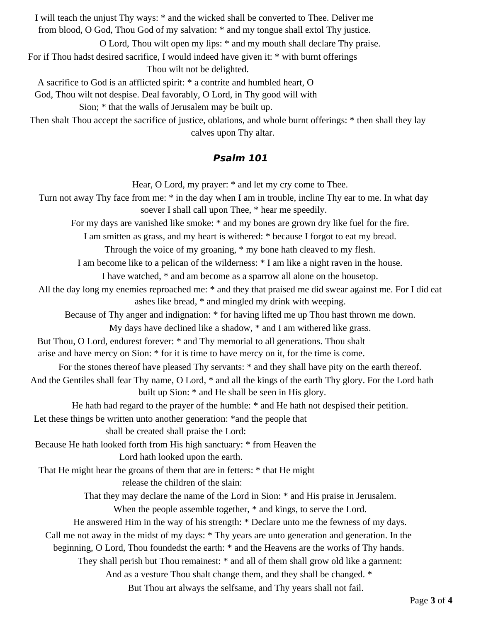I will teach the unjust Thy ways: \* and the wicked shall be converted to Thee. Deliver me from blood, O God, Thou God of my salvation: \* and my tongue shall extol Thy justice.

O Lord, Thou wilt open my lips: \* and my mouth shall declare Thy praise.

For if Thou hadst desired sacrifice, I would indeed have given it: \* with burnt offerings

Thou wilt not be delighted.

A sacrifice to God is an afflicted spirit: \* a contrite and humbled heart, O

God, Thou wilt not despise. Deal favorably, O Lord, in Thy good will with

Sion; \* that the walls of Jerusalem may be built up.

Then shalt Thou accept the sacrifice of justice, oblations, and whole burnt offerings: \* then shall they lay calves upon Thy altar.

#### **Psalm 101**

Hear, O Lord, my prayer: \* and let my cry come to Thee.

Turn not away Thy face from me: \* in the day when I am in trouble, incline Thy ear to me. In what day soever I shall call upon Thee, \* hear me speedily.

For my days are vanished like smoke: \* and my bones are grown dry like fuel for the fire.

I am smitten as grass, and my heart is withered: \* because I forgot to eat my bread.

Through the voice of my groaning, \* my bone hath cleaved to my flesh.

I am become like to a pelican of the wilderness: \* I am like a night raven in the house.

I have watched, \* and am become as a sparrow all alone on the housetop.

All the day long my enemies reproached me: \* and they that praised me did swear against me. For I did eat ashes like bread, \* and mingled my drink with weeping.

Because of Thy anger and indignation: \* for having lifted me up Thou hast thrown me down.

My days have declined like a shadow, \* and I am withered like grass.

But Thou, O Lord, endurest forever: \* and Thy memorial to all generations. Thou shalt

arise and have mercy on Sion: \* for it is time to have mercy on it, for the time is come.

For the stones thereof have pleased Thy servants:  $*$  and they shall have pity on the earth thereof.

And the Gentiles shall fear Thy name, O Lord, \* and all the kings of the earth Thy glory. For the Lord hath built up Sion: \* and He shall be seen in His glory.

He hath had regard to the prayer of the humble: \* and He hath not despised their petition.

Let these things be written unto another generation: \*and the people that

shall be created shall praise the Lord:

Because He hath looked forth from His high sanctuary: \* from Heaven the

Lord hath looked upon the earth.

That He might hear the groans of them that are in fetters: \* that He might

release the children of the slain:

That they may declare the name of the Lord in Sion: \* and His praise in Jerusalem.

When the people assemble together, \* and kings, to serve the Lord.

He answered Him in the way of his strength: \* Declare unto me the fewness of my days.

Call me not away in the midst of my days: \* Thy years are unto generation and generation. In the

beginning, O Lord, Thou foundedst the earth: \* and the Heavens are the works of Thy hands.

They shall perish but Thou remainest: \* and all of them shall grow old like a garment:

And as a vesture Thou shalt change them, and they shall be changed. \*

But Thou art always the selfsame, and Thy years shall not fail.